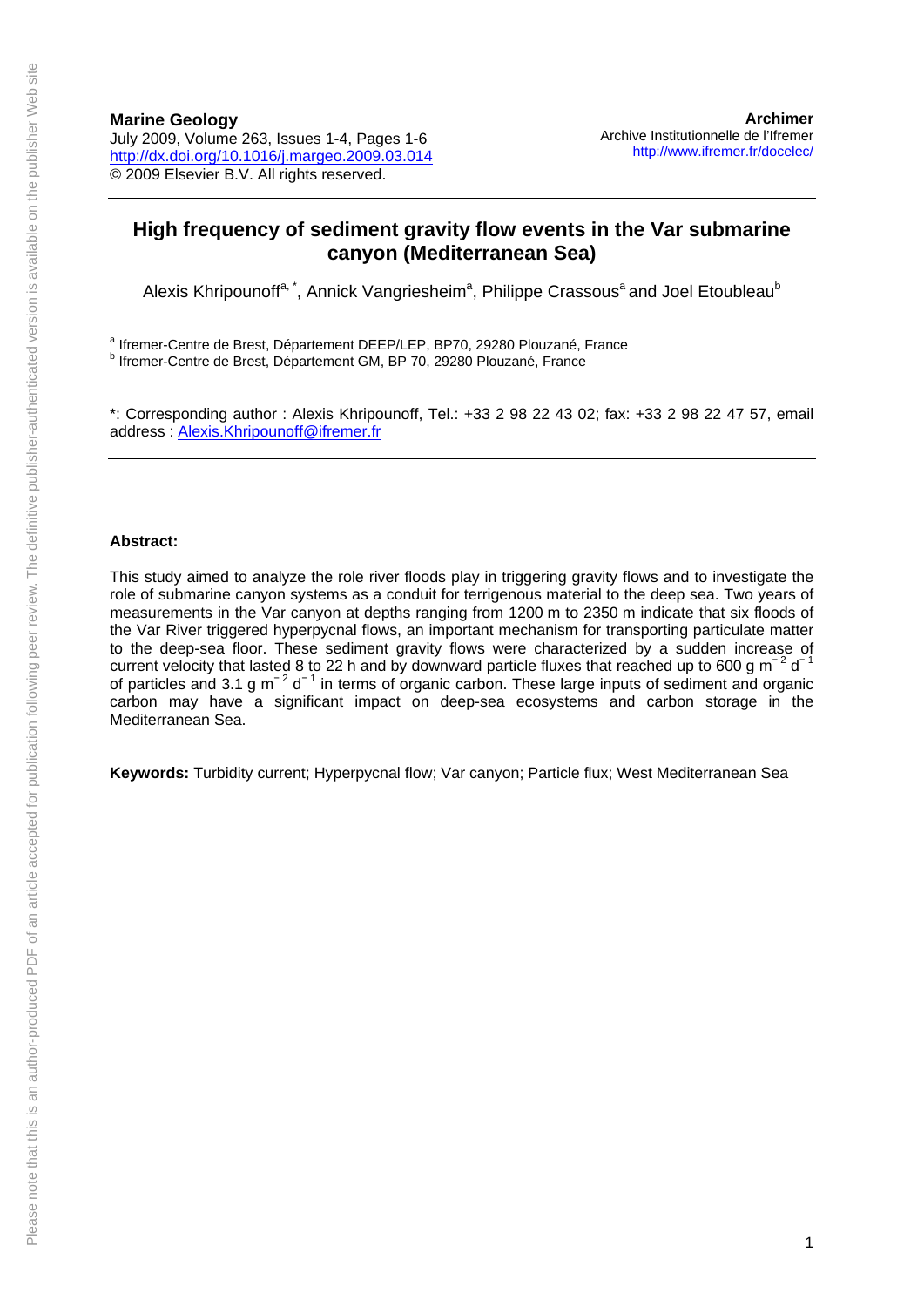July 2009, Volume 263, Issues 1-4, Pages 1-6 <http://dx.doi.org/10.1016/j.margeo.2009.03.014> © 2009 Elsevier B.V. All rights reserved.

## **High frequency of sediment gravity flow events in the Var submarine canyon (Mediterranean Sea)**

Alexis Khripounoff<sup>a,\*</sup>, Annick Vangriesheim<sup>a</sup>, Philippe Crassous<sup>a</sup> and Joel Etoubleau<sup>b</sup>

a lifremer-Centre de Brest, Département DEEP/LEP, BP70, 29280 Plouzané, France

<sup>b</sup> Ifremer-Centre de Brest, Département GM, BP 70, 29280 Plouzané, France

\*: Corresponding author : Alexis Khripounoff, Tel.: +33 2 98 22 43 02; fax: +33 2 98 22 47 57, email address : [Alexis.Khripounoff@ifremer.fr](mailto:Alexis.Khripounoff@ifremer.fr)

#### **Abstract:**

This study aimed to analyze the role river floods play in triggering gravity flows and to investigate the role of submarine canyon systems as a conduit for terrigenous material to the deep sea. Two years of measurements in the Var canyon at depths ranging from 1200 m to 2350 m indicate that six floods of the Var River triggered hyperpycnal flows, an important mechanism for transporting particulate matter to the deep-sea floor. These sediment gravity flows were characterized by a sudden increase of current velocity that lasted 8 to 22 h and by downward particle fluxes that reached up to 600 g m<sup>-2</sup> d<sup>-1</sup> of particles and 3.1 g m<sup>-2</sup> d<sup>-1</sup> in terms of organic carbon. These large inputs of sediment and organic carbon may have a significant impact on deep-sea ecosystems and carbon storage in the Mediterranean Sea.

**Keywords:** Turbidity current; Hyperpycnal flow; Var canyon; Particle flux; West Mediterranean Sea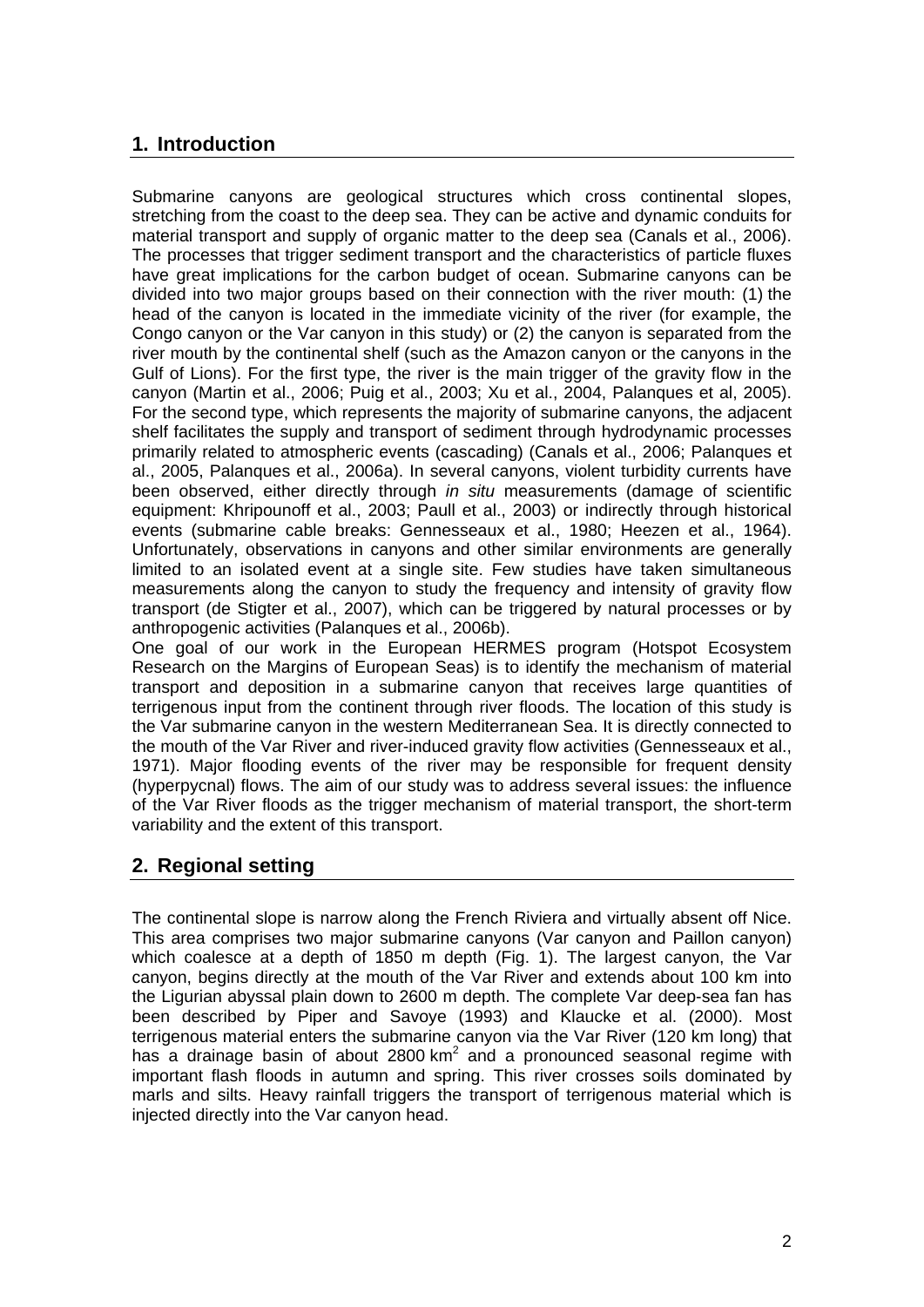# **1. Introduction**

Submarine canyons are geological structures which cross continental slopes, stretching from the coast to the deep sea. They can be active and dynamic conduits for material transport and supply of organic matter to the deep sea (Canals et al., 2006). The processes that trigger sediment transport and the characteristics of particle fluxes have great implications for the carbon budget of ocean. Submarine canyons can be divided into two major groups based on their connection with the river mouth: (1) the head of the canyon is located in the immediate vicinity of the river (for example, the Congo canyon or the Var canyon in this study) or (2) the canyon is separated from the river mouth by the continental shelf (such as the Amazon canyon or the canyons in the Gulf of Lions). For the first type, the river is the main trigger of the gravity flow in the canyon (Martin et al., 2006; Puig et al., 2003; Xu et al., 2004, Palanques et al, 2005). For the second type, which represents the majority of submarine canyons, the adjacent shelf facilitates the supply and transport of sediment through hydrodynamic processes primarily related to atmospheric events (cascading) (Canals et al., 2006; Palanques et al., 2005, Palanques et al., 2006a). In several canyons, violent turbidity currents have been observed, either directly through *in situ* measurements (damage of scientific equipment: Khripounoff et al., 2003; Paull et al., 2003) or indirectly through historical events (submarine cable breaks: Gennesseaux et al., 1980; Heezen et al., 1964). Unfortunately, observations in canyons and other similar environments are generally limited to an isolated event at a single site. Few studies have taken simultaneous measurements along the canyon to study the frequency and intensity of gravity flow transport (de Stigter et al., 2007), which can be triggered by natural processes or by anthropogenic activities (Palanques et al., 2006b).

One goal of our work in the European HERMES program (Hotspot Ecosystem Research on the Margins of European Seas) is to identify the mechanism of material transport and deposition in a submarine canyon that receives large quantities of terrigenous input from the continent through river floods. The location of this study is the Var submarine canyon in the western Mediterranean Sea. It is directly connected to the mouth of the Var River and river-induced gravity flow activities (Gennesseaux et al., 1971). Major flooding events of the river may be responsible for frequent density (hyperpycnal) flows. The aim of our study was to address several issues: the influence of the Var River floods as the trigger mechanism of material transport, the short-term variability and the extent of this transport.

# **2. Regional setting**

The continental slope is narrow along the French Riviera and virtually absent off Nice. This area comprises two major submarine canyons (Var canyon and Paillon canyon) which coalesce at a depth of 1850 m depth (Fig. 1). The largest canyon, the Var canyon, begins directly at the mouth of the Var River and extends about 100 km into the Ligurian abyssal plain down to 2600 m depth. The complete Var deep-sea fan has been described by Piper and Savoye (1993) and Klaucke et al. (2000). Most terrigenous material enters the submarine canyon via the Var River (120 km long) that has a drainage basin of about 2800 km<sup>2</sup> and a pronounced seasonal regime with important flash floods in autumn and spring. This river crosses soils dominated by marls and silts. Heavy rainfall triggers the transport of terrigenous material which is injected directly into the Var canyon head.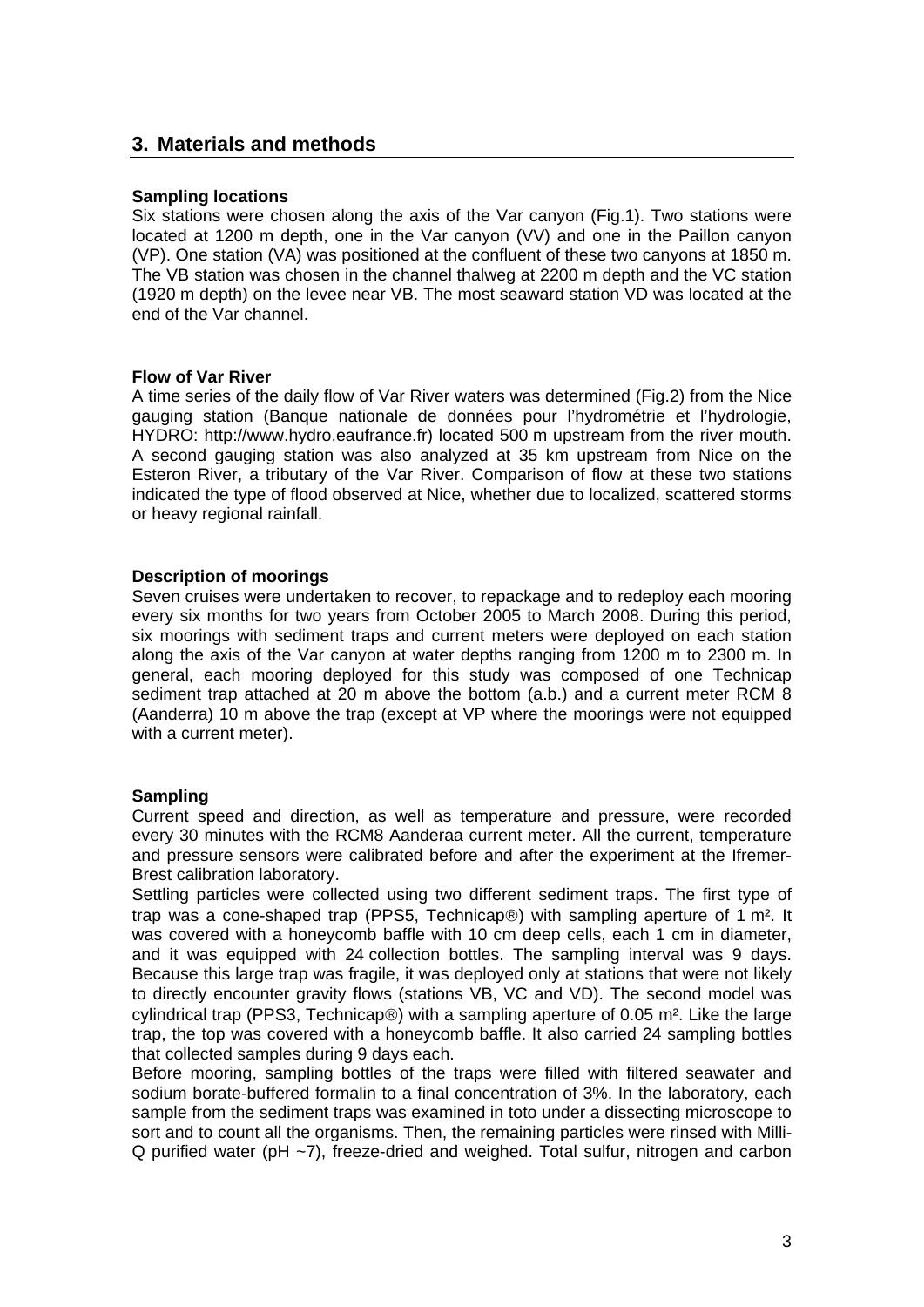## **3. Materials and methods**

#### **Sampling locations**

Six stations were chosen along the axis of the Var canyon (Fig.1). Two stations were located at 1200 m depth, one in the Var canyon (VV) and one in the Paillon canyon (VP). One station (VA) was positioned at the confluent of these two canyons at 1850 m. The VB station was chosen in the channel thalweg at 2200 m depth and the VC station (1920 m depth) on the levee near VB. The most seaward station VD was located at the end of the Var channel.

#### **Flow of Var River**

A time series of the daily flow of Var River waters was determined (Fig.2) from the Nice gauging station (Banque nationale de données pour l'hydrométrie et l'hydrologie, HYDRO: http://www.hydro.eaufrance.fr) located 500 m upstream from the river mouth. A second gauging station was also analyzed at 35 km upstream from Nice on the Esteron River, a tributary of the Var River. Comparison of flow at these two stations indicated the type of flood observed at Nice, whether due to localized, scattered storms or heavy regional rainfall.

#### **Description of moorings**

Seven cruises were undertaken to recover, to repackage and to redeploy each mooring every six months for two years from October 2005 to March 2008. During this period, six moorings with sediment traps and current meters were deployed on each station along the axis of the Var canyon at water depths ranging from 1200 m to 2300 m. In general, each mooring deployed for this study was composed of one Technicap sediment trap attached at 20 m above the bottom (a.b.) and a current meter RCM 8 (Aanderra) 10 m above the trap (except at VP where the moorings were not equipped with a current meter).

#### **Sampling**

Current speed and direction, as well as temperature and pressure, were recorded every 30 minutes with the RCM8 Aanderaa current meter. All the current, temperature and pressure sensors were calibrated before and after the experiment at the Ifremer-Brest calibration laboratory.

Settling particles were collected using two different sediment traps. The first type of trap was a cone-shaped trap (PPS5, Technicap®) with sampling aperture of 1 m<sup>2</sup>. It was covered with a honeycomb baffle with 10 cm deep cells, each 1 cm in diameter, and it was equipped with 24 collection bottles. The sampling interval was 9 days. Because this large trap was fragile, it was deployed only at stations that were not likely to directly encounter gravity flows (stations VB, VC and VD). The second model was cylindrical trap (PPS3, Technicap®) with a sampling aperture of 0.05  $m^2$ . Like the large trap, the top was covered with a honeycomb baffle. It also carried 24 sampling bottles that collected samples during 9 days each.

Before mooring, sampling bottles of the traps were filled with filtered seawater and sodium borate-buffered formalin to a final concentration of 3%. In the laboratory, each sample from the sediment traps was examined in toto under a dissecting microscope to sort and to count all the organisms. Then, the remaining particles were rinsed with Milli-Q purified water (pH ~7), freeze-dried and weighed. Total sulfur, nitrogen and carbon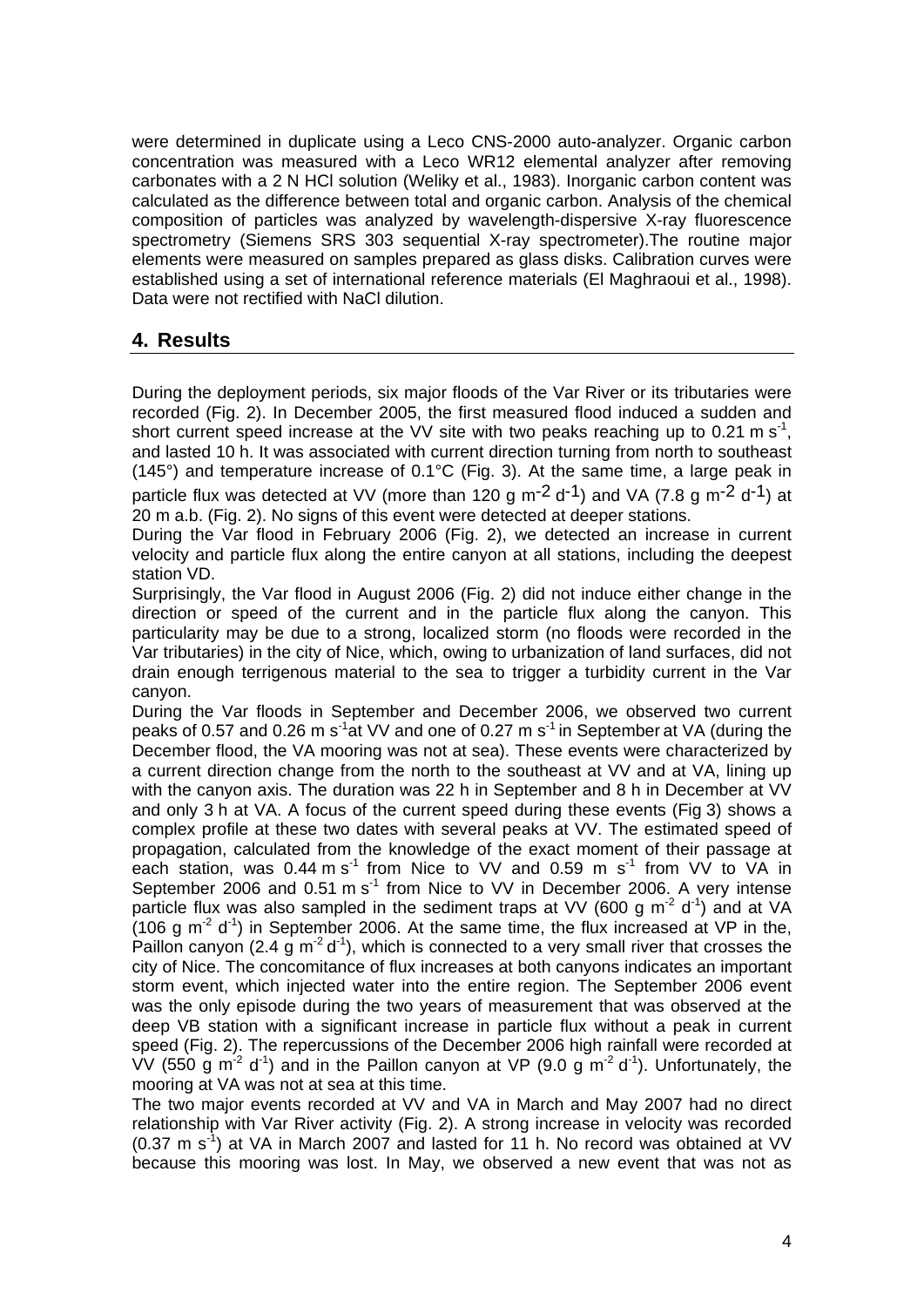were determined in duplicate using a Leco CNS-2000 auto-analyzer. Organic carbon concentration was measured with a Leco WR12 elemental analyzer after removing carbonates with a 2 N HCl solution (Weliky et al., 1983). Inorganic carbon content was calculated as the difference between total and organic carbon. Analysis of the chemical composition of particles was analyzed by wavelength-dispersive X-ray fluorescence spectrometry (Siemens SRS 303 sequential X-ray spectrometer).The routine major elements were measured on samples prepared as glass disks. Calibration curves were established using a set of international reference materials (El Maghraoui et al., 1998). Data were not rectified with NaCl dilution.

# **4. Results**

During the deployment periods, six major floods of the Var River or its tributaries were recorded (Fig. 2). In December 2005, the first measured flood induced a sudden and short current speed increase at the VV site with two peaks reaching up to 0.21 m s<sup>-1</sup>, and lasted 10 h. It was associated with current direction turning from north to southeast (145°) and temperature increase of 0.1°C (Fig. 3). At the same time, a large peak in particle flux was detected at VV (more than 120 g m<sup>-2</sup> d<sup>-1</sup>) and VA (7.8 g m<sup>-2</sup> d<sup>-1</sup>) at 20 m a.b. (Fig. 2). No signs of this event were detected at deeper stations.

During the Var flood in February 2006 (Fig. 2), we detected an increase in current velocity and particle flux along the entire canyon at all stations, including the deepest station VD.

Surprisingly, the Var flood in August 2006 (Fig. 2) did not induce either change in the direction or speed of the current and in the particle flux along the canyon. This particularity may be due to a strong, localized storm (no floods were recorded in the Var tributaries) in the city of Nice, which, owing to urbanization of land surfaces, did not drain enough terrigenous material to the sea to trigger a turbidity current in the Var canyon.

During the Var floods in September and December 2006, we observed two current peaks of 0.57 and 0.26 m s<sup>-1</sup>at VV and one of 0.27 m s<sup>-1</sup> in September at VA (during the December flood, the VA mooring was not at sea). These events were characterized by a current direction change from the north to the southeast at VV and at VA, lining up with the canyon axis. The duration was 22 h in September and 8 h in December at VV and only 3 h at VA. A focus of the current speed during these events (Fig 3) shows a complex profile at these two dates with several peaks at VV. The estimated speed of propagation, calculated from the knowledge of the exact moment of their passage at each station, was  $0.44 \text{ m s}^{-1}$  from Nice to VV and  $0.59 \text{ m s}^{-1}$  from VV to VA in September 2006 and  $0.51 \text{ m s}^1$  from Nice to VV in December 2006. A very intense particle flux was also sampled in the sediment traps at VV (600 g  $m^2$  d<sup>-1</sup>) and at VA  $(106 \text{ g m}^2 \text{ d}^1)$  in September 2006. At the same time, the flux increased at VP in the, Paillon canyon (2.4 g  $m^2 d^{-1}$ ), which is connected to a very small river that crosses the city of Nice. The concomitance of flux increases at both canyons indicates an important storm event, which injected water into the entire region. The September 2006 event was the only episode during the two years of measurement that was observed at the deep VB station with a significant increase in particle flux without a peak in current speed (Fig. 2). The repercussions of the December 2006 high rainfall were recorded at VV (550 g  $m^2$  d<sup>-1</sup>) and in the Paillon canyon at VP (9.0 g  $m^2$  d<sup>-1</sup>). Unfortunately, the mooring at VA was not at sea at this time.

The two major events recorded at VV and VA in March and May 2007 had no direct relationship with Var River activity (Fig. 2). A strong increase in velocity was recorded  $(0.37 \text{ m s}^3)$  at VA in March 2007 and lasted for 11 h. No record was obtained at VV because this mooring was lost. In May, we observed a new event that was not as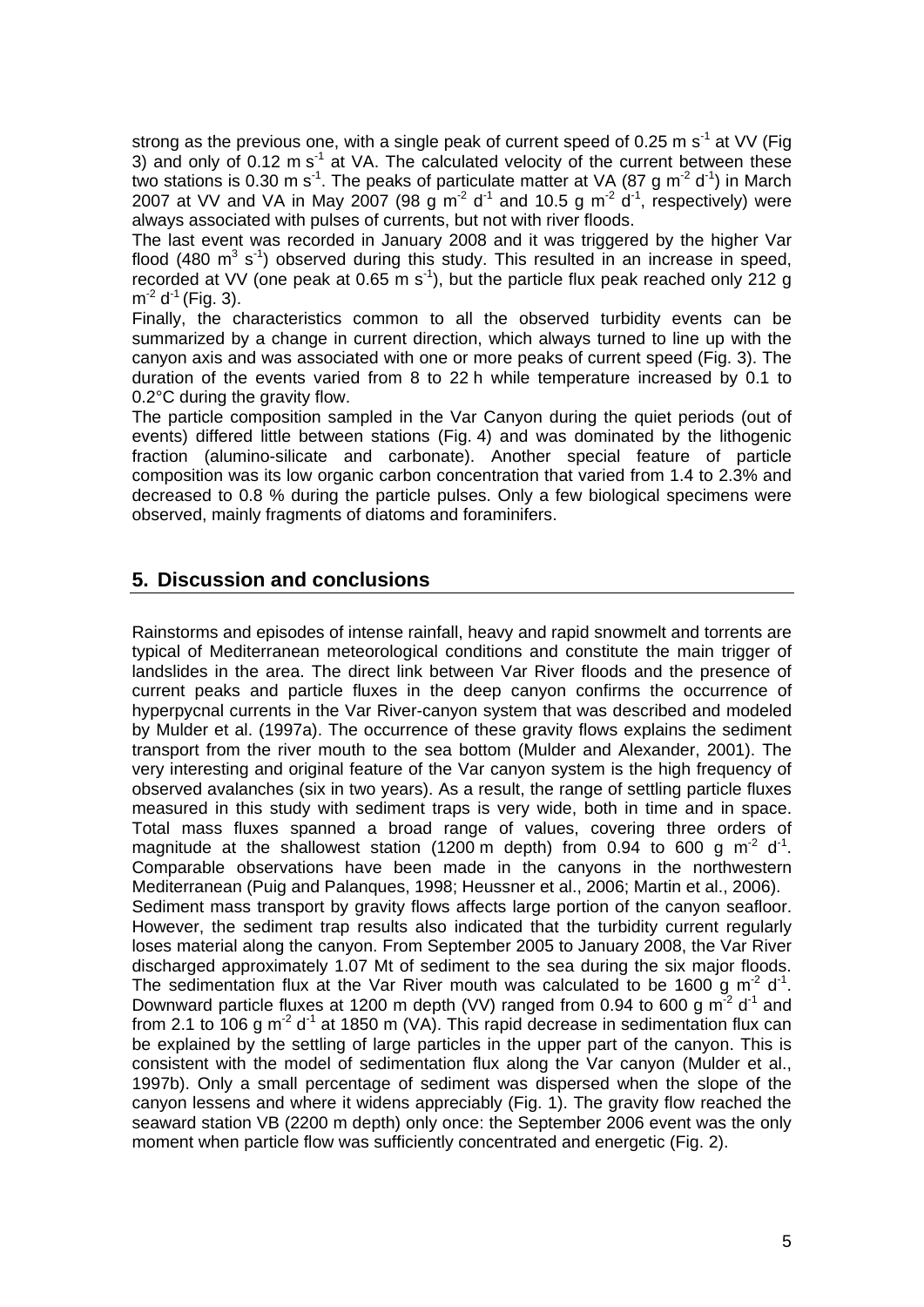strong as the previous one, with a single peak of current speed of 0.25 m s<sup>-1</sup> at VV (Fig 3) and only of 0.12 m  $s^{-1}$  at VA. The calculated velocity of the current between these two stations is 0.30 m s<sup>-1</sup>. The peaks of particulate matter at VA (87 g m<sup>-2</sup> d<sup>-1</sup>) in March 2007 at VV and VA in May 2007 (98 g  $m^2$  d<sup>-1</sup> and 10.5 g  $m^2$  d<sup>-1</sup>, respectively) were always associated with pulses of currents, but not with river floods.

The last event was recorded in January 2008 and it was triggered by the higher Var flood (480  $m^3$  s<sup>-1</sup>) observed during this study. This resulted in an increase in speed, recorded at VV (one peak at 0.65 m s<sup>-1</sup>), but the particle flux peak reached only 212 g  $m^{-2}$  d<sup>-1</sup> (Fig. 3).

Finally, the characteristics common to all the observed turbidity events can be summarized by a change in current direction, which always turned to line up with the canyon axis and was associated with one or more peaks of current speed (Fig. 3). The duration of the events varied from 8 to 22 h while temperature increased by 0.1 to 0.2°C during the gravity flow.

The particle composition sampled in the Var Canyon during the quiet periods (out of events) differed little between stations (Fig. 4) and was dominated by the lithogenic fraction (alumino-silicate and carbonate). Another special feature of particle composition was its low organic carbon concentration that varied from 1.4 to 2.3% and decreased to 0.8 % during the particle pulses. Only a few biological specimens were observed, mainly fragments of diatoms and foraminifers.

## **5. Discussion and conclusions**

Rainstorms and episodes of intense rainfall, heavy and rapid snowmelt and torrents are typical of Mediterranean meteorological conditions and constitute the main trigger of landslides in the area. The direct link between Var River floods and the presence of current peaks and particle fluxes in the deep canyon confirms the occurrence of hyperpycnal currents in the Var River-canyon system that was described and modeled by Mulder et al. (1997a). The occurrence of these gravity flows explains the sediment transport from the river mouth to the sea bottom (Mulder and Alexander, 2001). The very interesting and original feature of the Var canyon system is the high frequency of observed avalanches (six in two years). As a result, the range of settling particle fluxes measured in this study with sediment traps is very wide, both in time and in space. Total mass fluxes spanned a broad range of values, covering three orders of magnitude at the shallowest station (1200 m depth) from 0.94 to 600 g m<sup>-2</sup> d<sup>-1</sup>. Comparable observations have been made in the canyons in the northwestern Mediterranean (Puig and Palanques, 1998; Heussner et al., 2006; Martin et al., 2006). Sediment mass transport by gravity flows affects large portion of the canyon seafloor. However, the sediment trap results also indicated that the turbidity current regularly loses material along the canyon. From September 2005 to January 2008, the Var River discharged approximately 1.07 Mt of sediment to the sea during the six major floods. The sedimentation flux at the Var River mouth was calculated to be 1600 g  $m^2 d^1$ . Downward particle fluxes at 1200 m depth (VV) ranged from 0.94 to 600 g  $m^2 d^1$  and from 2.1 to 106 g m<sup>-2</sup> d<sup>-1</sup> at 1850 m (VA). This rapid decrease in sedimentation flux can be explained by the settling of large particles in the upper part of the canyon. This is consistent with the model of sedimentation flux along the Var canyon (Mulder et al., 1997b). Only a small percentage of sediment was dispersed when the slope of the canyon lessens and where it widens appreciably (Fig. 1). The gravity flow reached the seaward station VB (2200 m depth) only once: the September 2006 event was the only moment when particle flow was sufficiently concentrated and energetic (Fig. 2).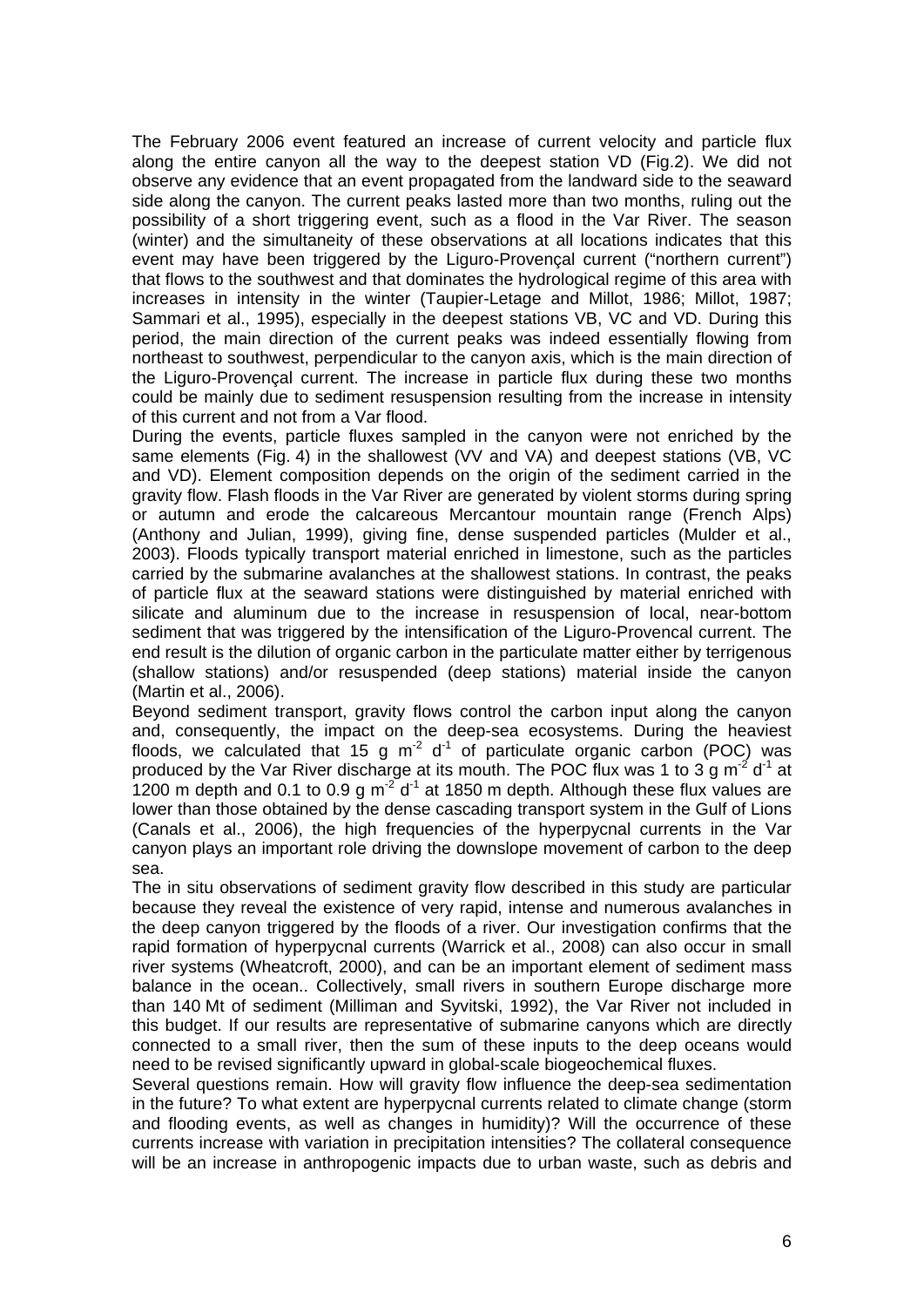The February 2006 event featured an increase of current velocity and particle flux along the entire canyon all the way to the deepest station VD (Fig.2). We did not observe any evidence that an event propagated from the landward side to the seaward side along the canyon. The current peaks lasted more than two months, ruling out the possibility of a short triggering event, such as a flood in the Var River. The season (winter) and the simultaneity of these observations at all locations indicates that this event may have been triggered by the Liguro-Provençal current ("northern current") that flows to the southwest and that dominates the hydrological regime of this area with increases in intensity in the winter (Taupier-Letage and Millot, 1986; Millot, 1987; Sammari et al., 1995), especially in the deepest stations VB, VC and VD. During this period, the main direction of the current peaks was indeed essentially flowing from northeast to southwest, perpendicular to the canyon axis, which is the main direction of the Liguro-Provençal current. The increase in particle flux during these two months could be mainly due to sediment resuspension resulting from the increase in intensity of this current and not from a Var flood.

During the events, particle fluxes sampled in the canyon were not enriched by the same elements (Fig. 4) in the shallowest (VV and VA) and deepest stations (VB, VC and VD). Element composition depends on the origin of the sediment carried in the gravity flow. Flash floods in the Var River are generated by violent storms during spring or autumn and erode the calcareous Mercantour mountain range (French Alps) (Anthony and Julian, 1999), giving fine, dense suspended particles (Mulder et al., 2003). Floods typically transport material enriched in limestone, such as the particles carried by the submarine avalanches at the shallowest stations. In contrast, the peaks of particle flux at the seaward stations were distinguished by material enriched with silicate and aluminum due to the increase in resuspension of local, near-bottom sediment that was triggered by the intensification of the Liguro-Provencal current. The end result is the dilution of organic carbon in the particulate matter either by terrigenous (shallow stations) and/or resuspended (deep stations) material inside the canyon (Martin et al., 2006).

Beyond sediment transport, gravity flows control the carbon input along the canyon and, consequently, the impact on the deep-sea ecosystems. During the heaviest floods, we calculated that  $15 \text{ g m}^2$  d<sup>-1</sup> of particulate organic carbon (POC) was produced by the Var River discharge at its mouth. The POC flux was 1 to 3 g  $m^2 d^1$  at 1200 m depth and 0.1 to 0.9 g  $m^2 d^1$  at 1850 m depth. Although these flux values are lower than those obtained by the dense cascading transport system in the Gulf of Lions (Canals et al., 2006), the high frequencies of the hyperpycnal currents in the Var canyon plays an important role driving the downslope movement of carbon to the deep sea.

The in situ observations of sediment gravity flow described in this study are particular because they reveal the existence of very rapid, intense and numerous avalanches in the deep canyon triggered by the floods of a river. Our investigation confirms that the rapid formation of hyperpycnal currents (Warrick et al., 2008) can also occur in small river systems (Wheatcroft, 2000), and can be an important element of sediment mass balance in the ocean.. Collectively, small rivers in southern Europe discharge more than 140 Mt of sediment (Milliman and Syvitski, 1992), the Var River not included in this budget. If our results are representative of submarine canyons which are directly connected to a small river, then the sum of these inputs to the deep oceans would need to be revised significantly upward in global-scale biogeochemical fluxes.

Several questions remain. How will gravity flow influence the deep-sea sedimentation in the future? To what extent are hyperpycnal currents related to climate change (storm and flooding events, as well as changes in humidity)? Will the occurrence of these currents increase with variation in precipitation intensities? The collateral consequence will be an increase in anthropogenic impacts due to urban waste, such as debris and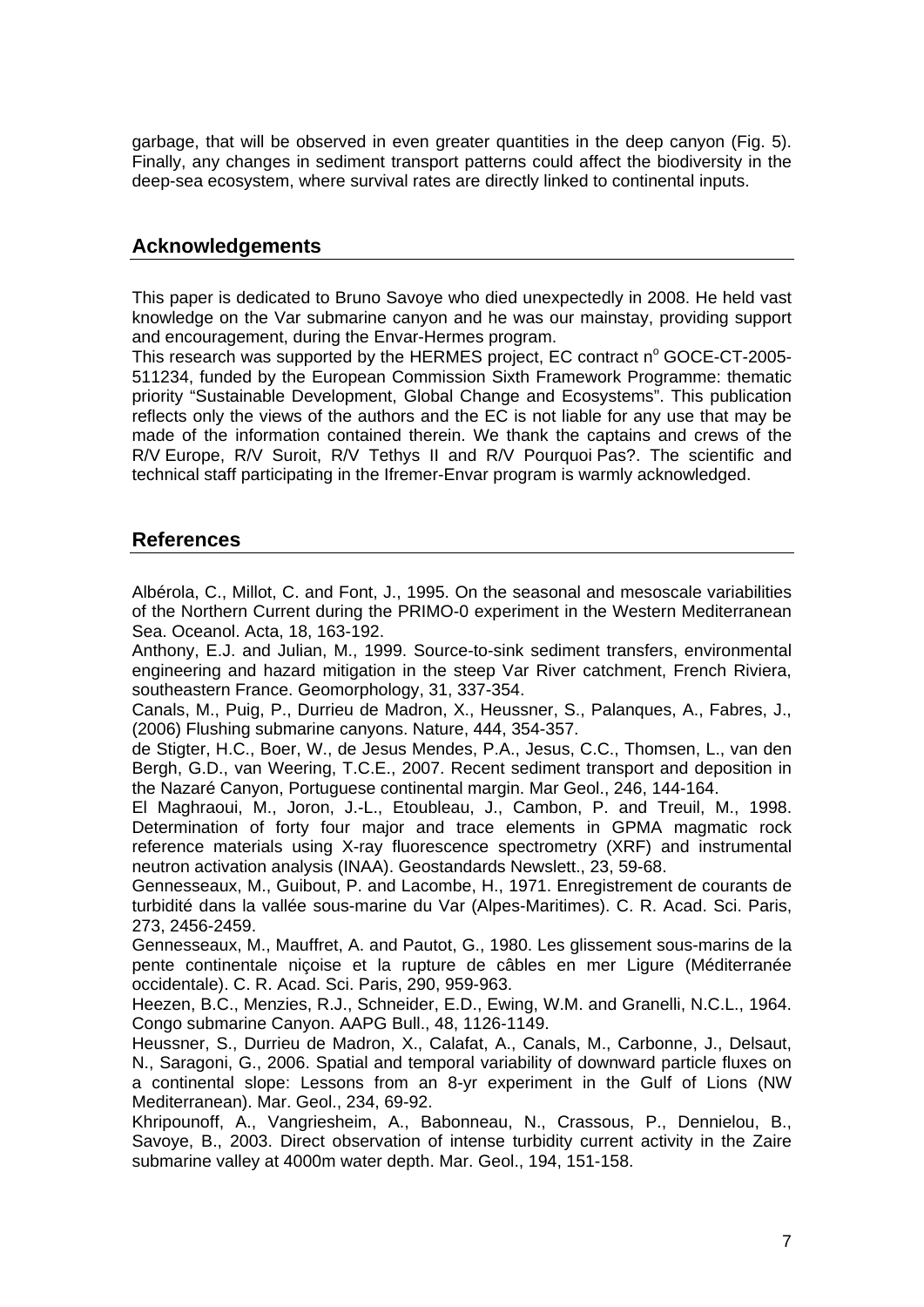garbage, that will be observed in even greater quantities in the deep canyon (Fig. 5). Finally, any changes in sediment transport patterns could affect the biodiversity in the deep-sea ecosystem, where survival rates are directly linked to continental inputs.

### **Acknowledgements**

This paper is dedicated to Bruno Savoye who died unexpectedly in 2008. He held vast knowledge on the Var submarine canyon and he was our mainstay, providing support and encouragement, during the Envar-Hermes program.

This research was supported by the HERMES project, EC contract n° GOCE-CT-2005-511234, funded by the European Commission Sixth Framework Programme: thematic priority "Sustainable Development, Global Change and Ecosystems". This publication reflects only the views of the authors and the EC is not liable for any use that may be made of the information contained therein. We thank the captains and crews of the R/V Europe, R/V Suroit, R/V Tethys II and R/V Pourquoi Pas?. The scientific and technical staff participating in the Ifremer-Envar program is warmly acknowledged.

### **References**

Albérola, C., Millot, C. and Font, J., 1995. On the seasonal and mesoscale variabilities of the Northern Current during the PRIMO-0 experiment in the Western Mediterranean Sea. Oceanol. Acta, 18, 163-192.

Anthony, E.J. and Julian, M., 1999. Source-to-sink sediment transfers, environmental engineering and hazard mitigation in the steep Var River catchment, French Riviera, southeastern France. Geomorphology, 31, 337-354.

Canals, M., Puig, P., Durrieu de Madron, X., Heussner, S., Palanques, A., Fabres, J., (2006) Flushing submarine canyons. Nature, 444, 354-357.

de Stigter, H.C., Boer, W., de Jesus Mendes, P.A., Jesus, C.C., Thomsen, L., van den Bergh, G.D., van Weering, T.C.E., 2007. Recent sediment transport and deposition in the Nazaré Canyon, Portuguese continental margin. Mar Geol., 246, 144-164.

El Maghraoui, M., Joron, J.-L., Etoubleau, J., Cambon, P. and Treuil, M., 1998. Determination of forty four major and trace elements in GPMA magmatic rock reference materials using X-ray fluorescence spectrometry (XRF) and instrumental neutron activation analysis (INAA). Geostandards Newslett., 23, 59-68.

Gennesseaux, M., Guibout, P. and Lacombe, H., 1971. Enregistrement de courants de turbidité dans la vallée sous-marine du Var (Alpes-Maritimes). C. R. Acad. Sci. Paris, 273, 2456-2459.

Gennesseaux, M., Mauffret, A. and Pautot, G., 1980. Les glissement sous-marins de la pente continentale niçoise et la rupture de câbles en mer Ligure (Méditerranée occidentale). C. R. Acad. Sci. Paris, 290, 959-963.

Heezen, B.C., Menzies, R.J., Schneider, E.D., Ewing, W.M. and Granelli, N.C.L., 1964. Congo submarine Canyon. AAPG Bull., 48, 1126-1149.

Heussner, S., Durrieu de Madron, X., Calafat, A., Canals, M., Carbonne, J., Delsaut, N., Saragoni, G., 2006. Spatial and temporal variability of downward particle fluxes on a continental slope: Lessons from an 8-yr experiment in the Gulf of Lions (NW Mediterranean). Mar. Geol., 234, 69-92.

Khripounoff, A., Vangriesheim, A., Babonneau, N., Crassous, P., Dennielou, B., Savoye, B., 2003. Direct observation of intense turbidity current activity in the Zaire submarine valley at 4000m water depth. Mar. Geol., 194, 151-158.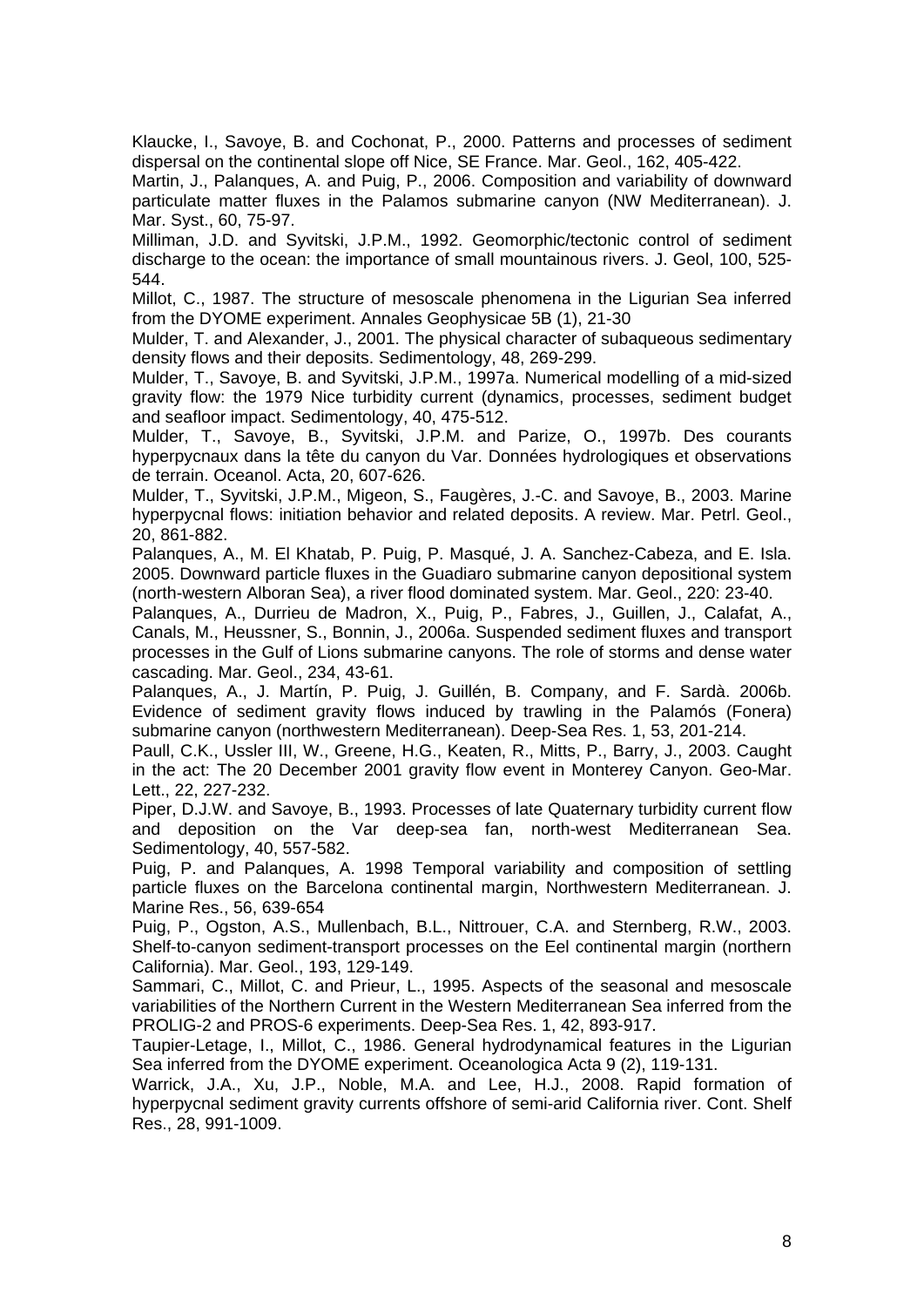Klaucke, I., Savoye, B. and Cochonat, P., 2000. Patterns and processes of sediment dispersal on the continental slope off Nice, SE France. Mar. Geol., 162, 405-422.

Martin, J., Palanques, A. and Puig, P., 2006. Composition and variability of downward particulate matter fluxes in the Palamos submarine canyon (NW Mediterranean). J. Mar. Syst., 60, 75-97.

Milliman, J.D. and Syvitski, J.P.M., 1992. Geomorphic/tectonic control of sediment discharge to the ocean: the importance of small mountainous rivers. J. Geol, 100, 525- 544.

Millot, C., 1987. The structure of mesoscale phenomena in the Ligurian Sea inferred from the DYOME experiment. Annales Geophysicae 5B (1), 21-30

Mulder, T. and Alexander, J., 2001. The physical character of subaqueous sedimentary density flows and their deposits. Sedimentology, 48, 269-299.

Mulder, T., Savoye, B. and Syvitski, J.P.M., 1997a. Numerical modelling of a mid-sized gravity flow: the 1979 Nice turbidity current (dynamics, processes, sediment budget and seafloor impact. Sedimentology, 40, 475-512.

Mulder, T., Savoye, B., Syvitski, J.P.M. and Parize, O., 1997b. Des courants hyperpycnaux dans la tête du canyon du Var. Données hydrologiques et observations de terrain. Oceanol. Acta, 20, 607-626.

Mulder, T., Syvitski, J.P.M., Migeon, S., Faugères, J.-C. and Savoye, B., 2003. Marine hyperpycnal flows: initiation behavior and related deposits. A review. Mar. Petrl. Geol., 20, 861-882.

Palanques, A., M. El Khatab, P. Puig, P. Masqué, J. A. Sanchez-Cabeza, and E. Isla. 2005. Downward particle fluxes in the Guadiaro submarine canyon depositional system (north-western Alboran Sea), a river flood dominated system. Mar. Geol., 220: 23-40.

Palanques, A., Durrieu de Madron, X., Puig, P., Fabres, J., Guillen, J., Calafat, A., Canals, M., Heussner, S., Bonnin, J., 2006a. Suspended sediment fluxes and transport processes in the Gulf of Lions submarine canyons. The role of storms and dense water cascading. Mar. Geol., 234, 43-61.

Palanques, A., J. Martín, P. Puig, J. Guillén, B. Company, and F. Sardà. 2006b. Evidence of sediment gravity flows induced by trawling in the Palamós (Fonera) submarine canyon (northwestern Mediterranean). Deep-Sea Res. 1, 53, 201-214.

Paull, C.K., Ussler III, W., Greene, H.G., Keaten, R., Mitts, P., Barry, J., 2003. Caught in the act: The 20 December 2001 gravity flow event in Monterey Canyon. Geo-Mar. Lett., 22, 227-232.

Piper, D.J.W. and Savoye, B., 1993. Processes of late Quaternary turbidity current flow and deposition on the Var deep-sea fan, north-west Mediterranean Sea. Sedimentology, 40, 557-582.

Puig, P. and Palanques, A. 1998 Temporal variability and composition of settling particle fluxes on the Barcelona continental margin, Northwestern Mediterranean. J. Marine Res., 56, 639-654

Puig, P., Ogston, A.S., Mullenbach, B.L., Nittrouer, C.A. and Sternberg, R.W., 2003. Shelf-to-canyon sediment-transport processes on the Eel continental margin (northern California). Mar. Geol., 193, 129-149.

Sammari, C., Millot, C. and Prieur, L., 1995. Aspects of the seasonal and mesoscale variabilities of the Northern Current in the Western Mediterranean Sea inferred from the PROLIG-2 and PROS-6 experiments. Deep-Sea Res. 1, 42, 893-917.

Taupier-Letage, I., Millot, C., 1986. General hydrodynamical features in the Ligurian Sea inferred from the DYOME experiment. Oceanologica Acta 9 (2), 119-131.

Warrick, J.A., Xu, J.P., Noble, M.A. and Lee, H.J., 2008. Rapid formation of hyperpycnal sediment gravity currents offshore of semi-arid California river. Cont. Shelf Res., 28, 991-1009.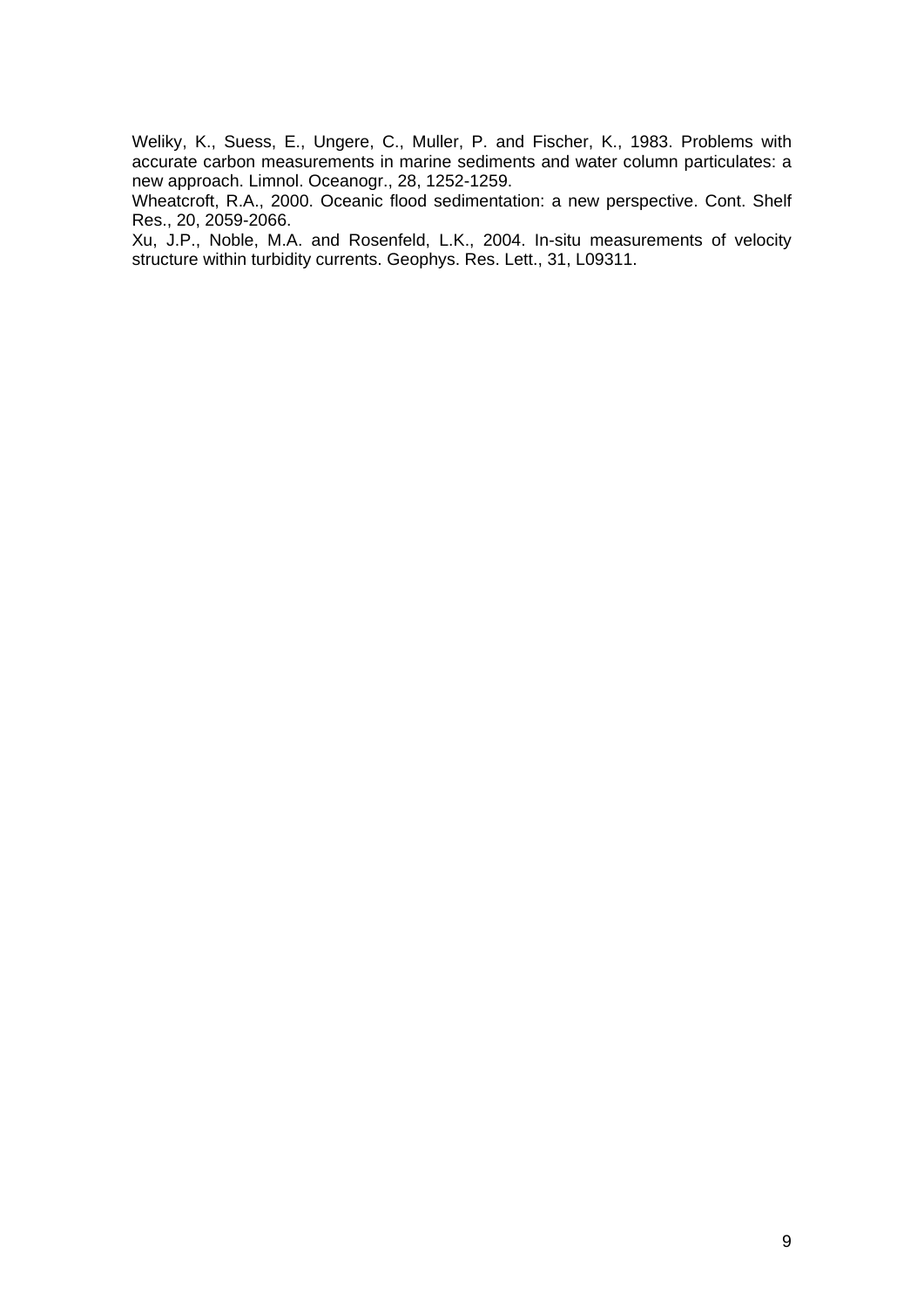Weliky, K., Suess, E., Ungere, C., Muller, P. and Fischer, K., 1983. Problems with accurate carbon measurements in marine sediments and water column particulates: a new approach. Limnol. Oceanogr., 28, 1252-1259.

Wheatcroft, R.A., 2000. Oceanic flood sedimentation: a new perspective. Cont. Shelf Res., 20, 2059-2066.

Xu, J.P., Noble, M.A. and Rosenfeld, L.K., 2004. In-situ measurements of velocity structure within turbidity currents. Geophys. Res. Lett., 31, L09311.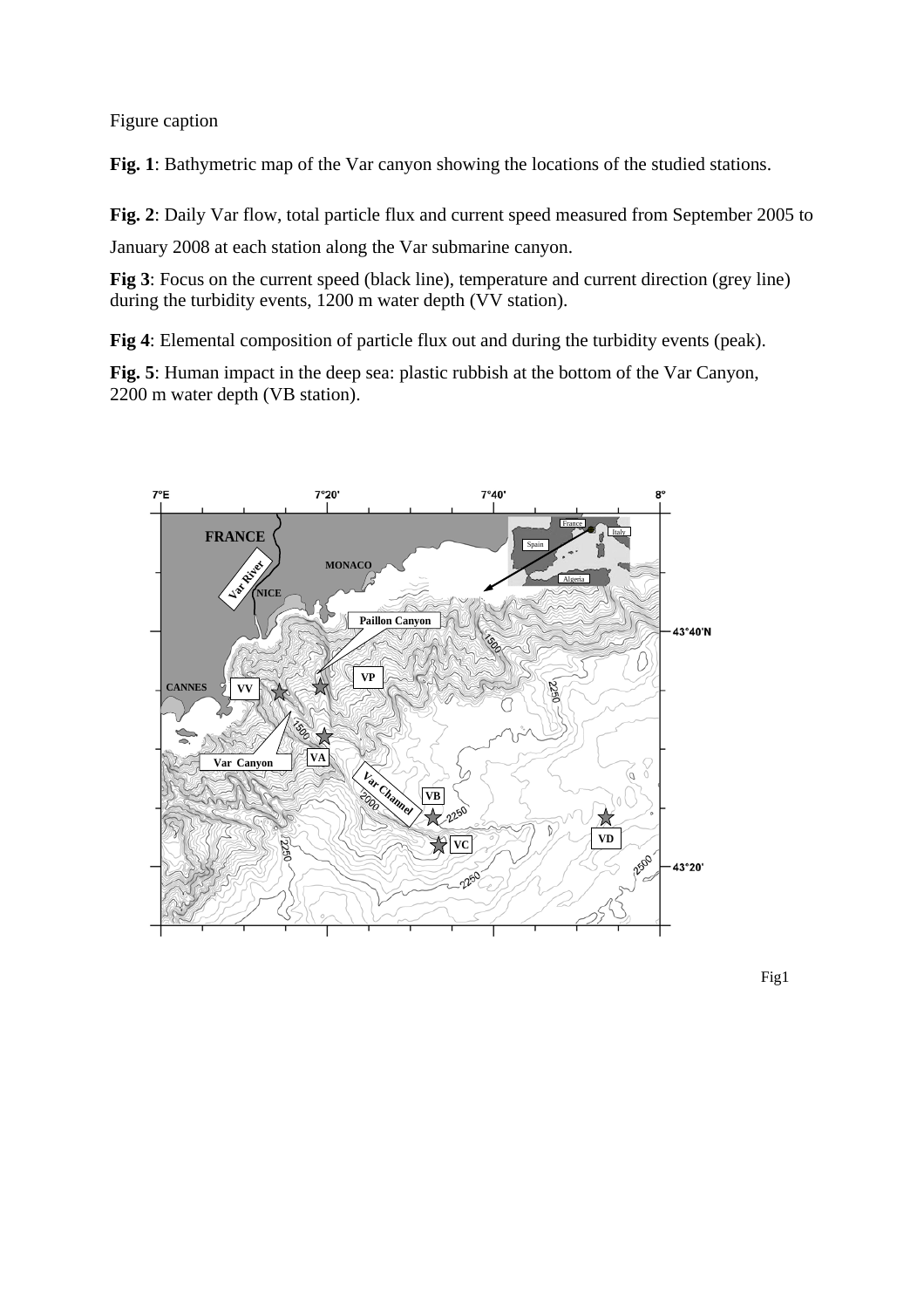Figure caption

**Fig. 1**: Bathymetric map of the Var canyon showing the locations of the studied stations.

**Fig. 2**: Daily Var flow, total particle flux and current speed measured from September 2005 to

January 2008 at each station along the Var submarine canyon.

**Fig 3**: Focus on the current speed (black line), temperature and current direction (grey line) during the turbidity events, 1200 m water depth (VV station).

**Fig 4**: Elemental composition of particle flux out and during the turbidity events (peak).

**Fig. 5**: Human impact in the deep sea: plastic rubbish at the bottom of the Var Canyon, 2200 m water depth (VB station).



Fig1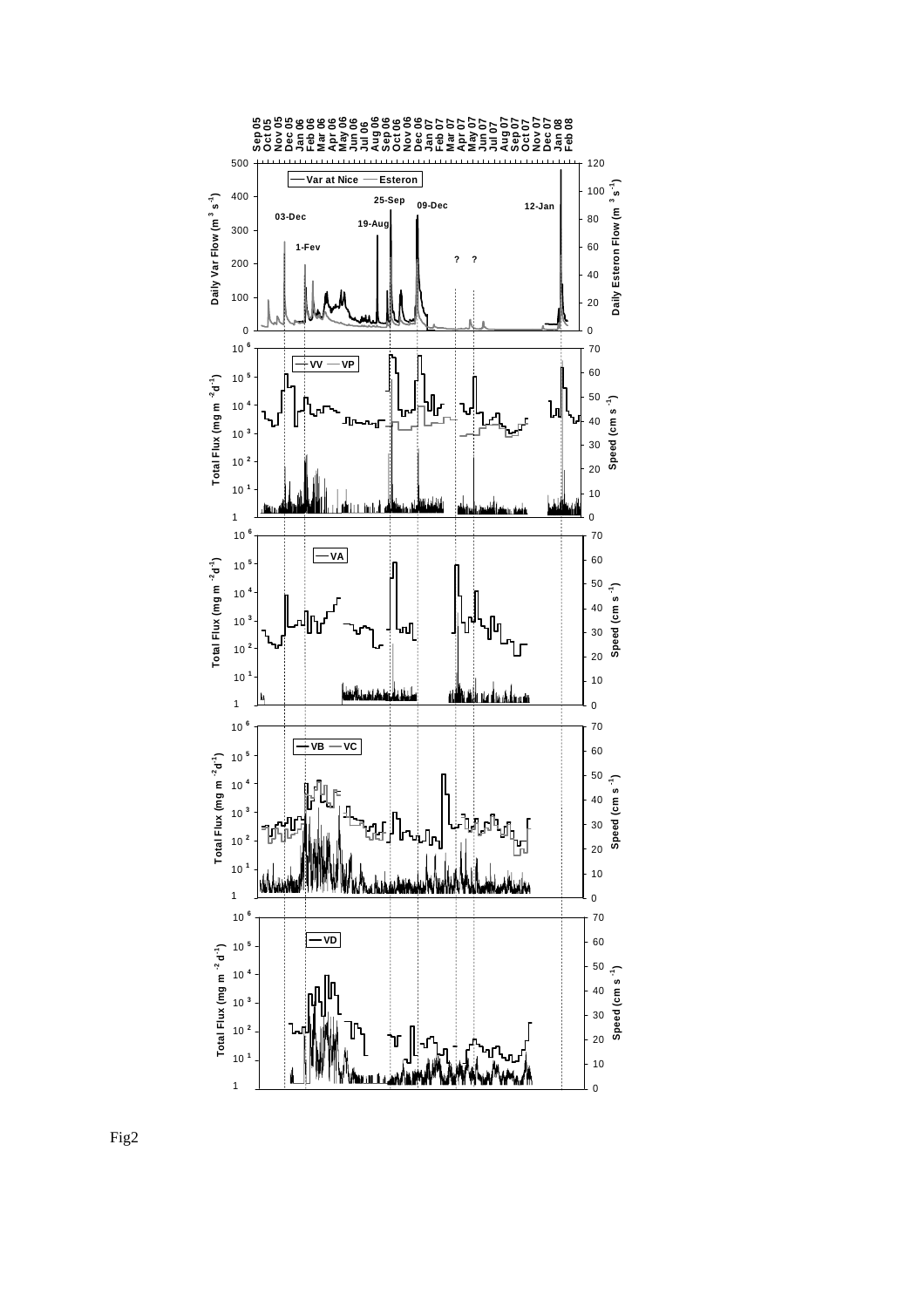

Fig2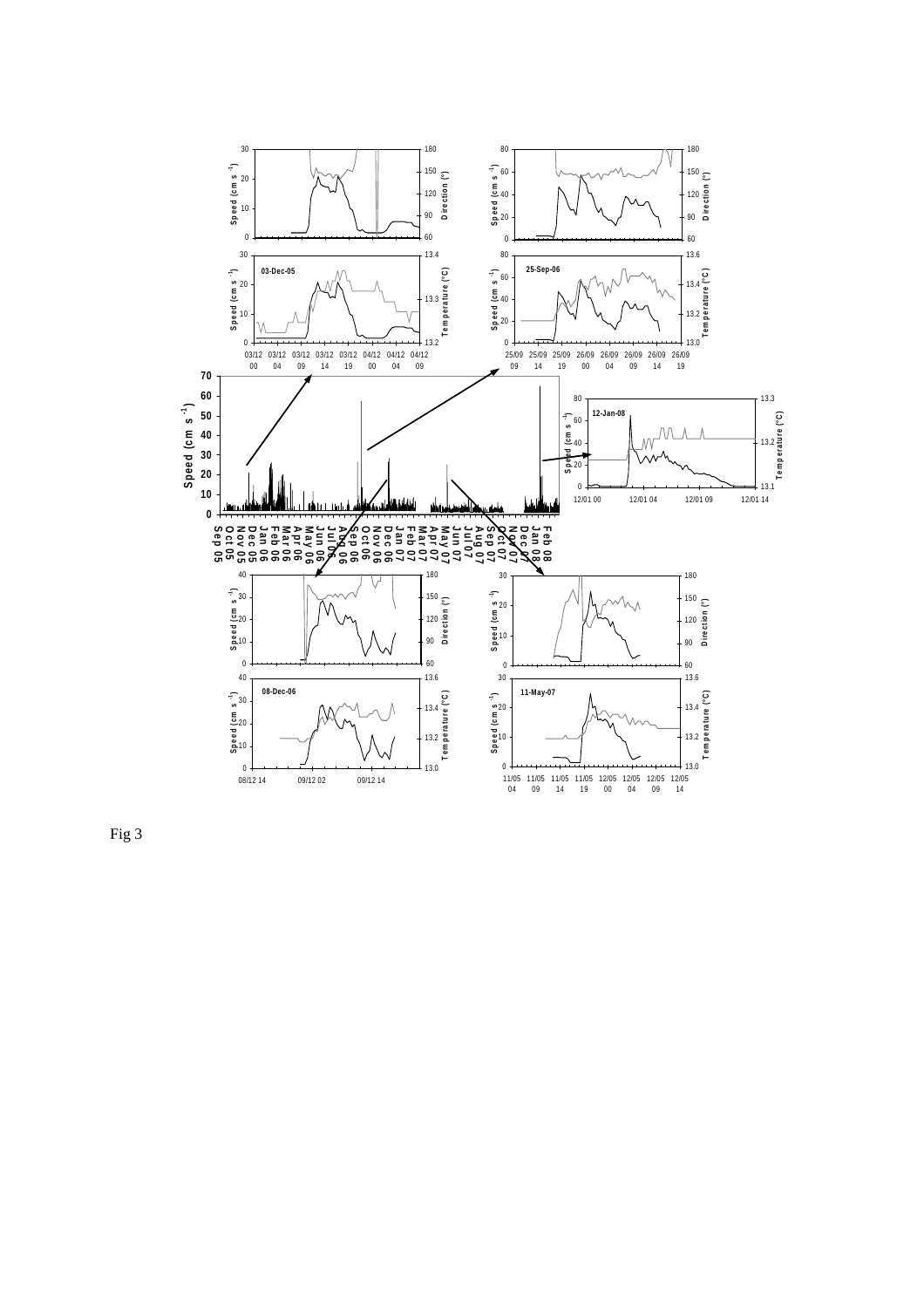